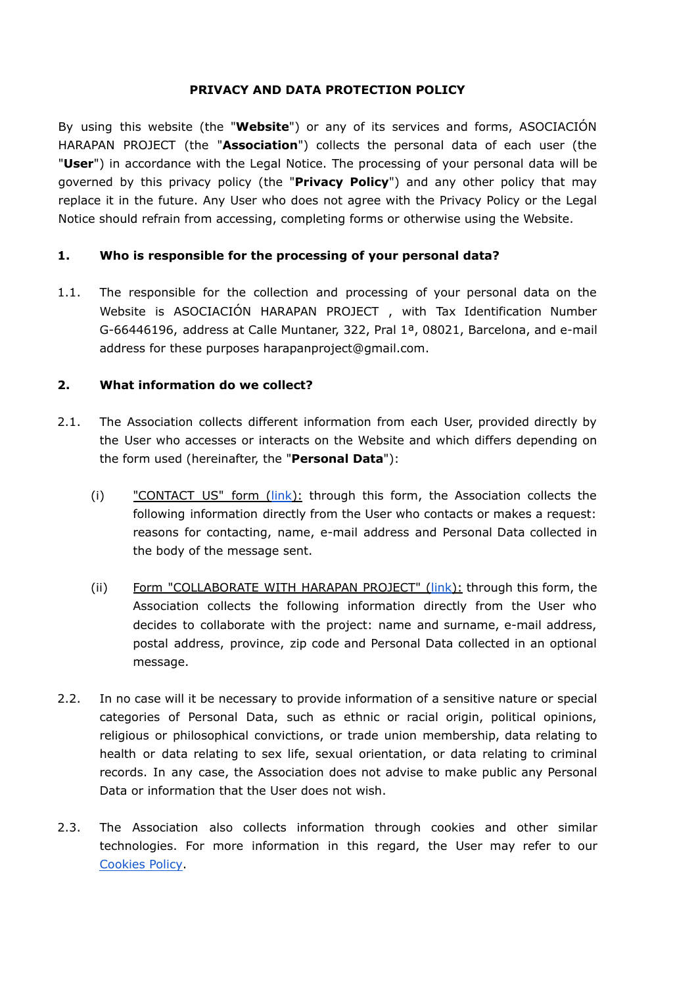#### **PRIVACY AND DATA PROTECTION POLICY**

By using this website (the "**Website**") or any of its services and forms, ASOCIACIÓN HARAPAN PROJECT (the "**Association**") collects the personal data of each user (the "**User**") in accordance with the Legal Notice. The processing of your personal data will be governed by this privacy policy (the "**Privacy Policy**") and any other policy that may replace it in the future. Any User who does not agree with the Privacy Policy or the Legal Notice should refrain from accessing, completing forms or otherwise using the Website.

# **1. Who is responsible for the processing of your personal data?**

1.1. The responsible for the collection and processing of your personal data on the Website is ASOCIACIÓN HARAPAN PROJECT , with Tax Identification Number G-66446196, address at Calle Muntaner, 322, Pral 1ª, 08021, Barcelona, and e-mail address for these purposes harapanproject@gmail.com.

#### **2. What information do we collect?**

- 2.1. The Association collects different information from each User, provided directly by the User who accesses or interacts on the Website and which differs depending on the form used (hereinafter, the "**Personal Data**"):
	- (i) "CONTACT US" form ([link](https://proyectoharapan.org/contact-us/)): through this form, the Association collects the following information directly from the User who contacts or makes a request: reasons for contacting, name, e-mail address and Personal Data collected in the body of the message sent.
	- (ii) Form "COLLABORATE WITH HARAPAN PROJECT" [\(link\)](https://proyectoharapan.org/donate/): through this form, the Association collects the following information directly from the User who decides to collaborate with the project: name and surname, e-mail address, postal address, province, zip code and Personal Data collected in an optional message.
- 2.2. In no case will it be necessary to provide information of a sensitive nature or special categories of Personal Data, such as ethnic or racial origin, political opinions, religious or philosophical convictions, or trade union membership, data relating to health or data relating to sex life, sexual orientation, or data relating to criminal records. In any case, the Association does not advise to make public any Personal Data or information that the User does not wish.
- 2.3. The Association also collects information through cookies and other similar technologies. For more information in this regard, the User may refer to our [Cookies](https://proyectoharapan.org/cookies-policy/) Policy.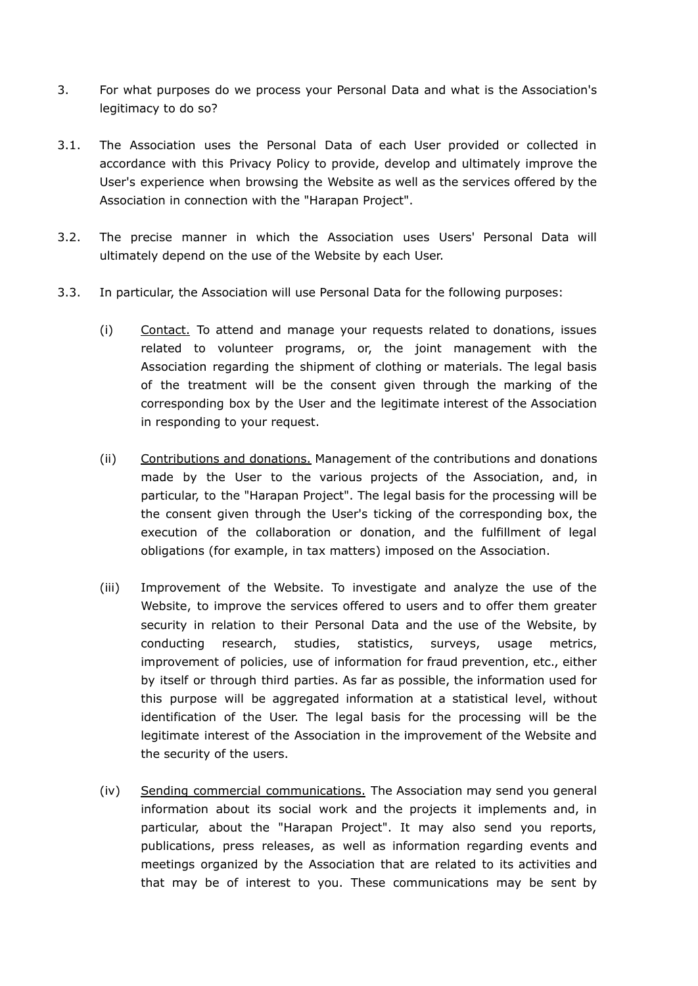- 3. For what purposes do we process your Personal Data and what is the Association's legitimacy to do so?
- 3.1. The Association uses the Personal Data of each User provided or collected in accordance with this Privacy Policy to provide, develop and ultimately improve the User's experience when browsing the Website as well as the services offered by the Association in connection with the "Harapan Project".
- 3.2. The precise manner in which the Association uses Users' Personal Data will ultimately depend on the use of the Website by each User.
- 3.3. In particular, the Association will use Personal Data for the following purposes:
	- (i) Contact. To attend and manage your requests related to donations, issues related to volunteer programs, or, the joint management with the Association regarding the shipment of clothing or materials. The legal basis of the treatment will be the consent given through the marking of the corresponding box by the User and the legitimate interest of the Association in responding to your request.
	- (ii) Contributions and donations. Management of the contributions and donations made by the User to the various projects of the Association, and, in particular, to the "Harapan Project". The legal basis for the processing will be the consent given through the User's ticking of the corresponding box, the execution of the collaboration or donation, and the fulfillment of legal obligations (for example, in tax matters) imposed on the Association.
	- (iii) Improvement of the Website. To investigate and analyze the use of the Website, to improve the services offered to users and to offer them greater security in relation to their Personal Data and the use of the Website, by conducting research, studies, statistics, surveys, usage metrics, improvement of policies, use of information for fraud prevention, etc., either by itself or through third parties. As far as possible, the information used for this purpose will be aggregated information at a statistical level, without identification of the User. The legal basis for the processing will be the legitimate interest of the Association in the improvement of the Website and the security of the users.
	- (iv) Sending commercial communications. The Association may send you general information about its social work and the projects it implements and, in particular, about the "Harapan Project". It may also send you reports, publications, press releases, as well as information regarding events and meetings organized by the Association that are related to its activities and that may be of interest to you. These communications may be sent by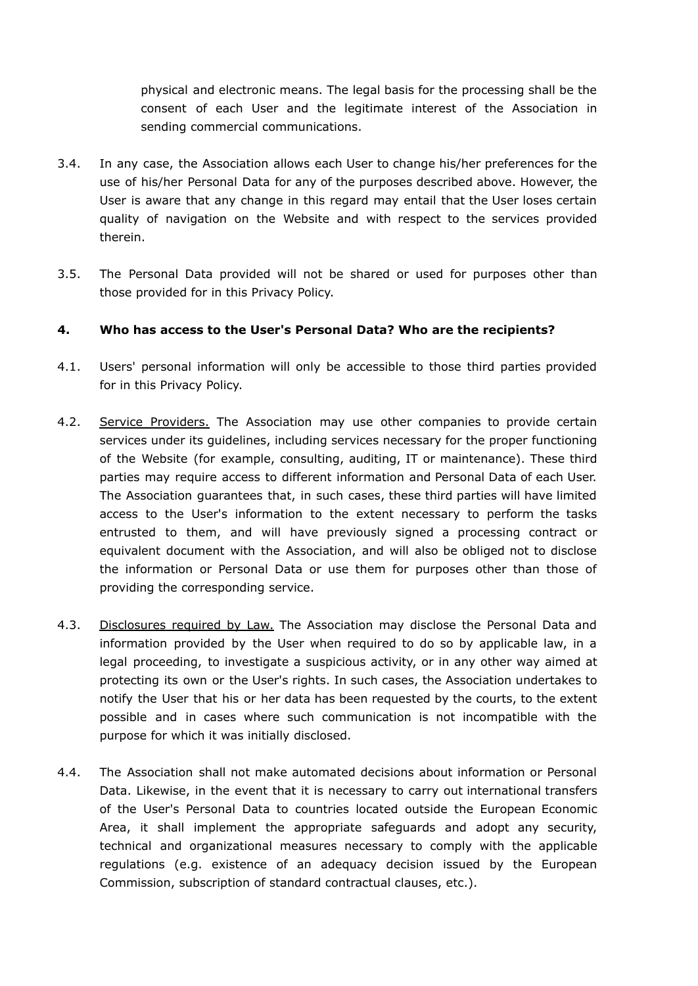physical and electronic means. The legal basis for the processing shall be the consent of each User and the legitimate interest of the Association in sending commercial communications.

- 3.4. In any case, the Association allows each User to change his/her preferences for the use of his/her Personal Data for any of the purposes described above. However, the User is aware that any change in this regard may entail that the User loses certain quality of navigation on the Website and with respect to the services provided therein.
- 3.5. The Personal Data provided will not be shared or used for purposes other than those provided for in this Privacy Policy.

# **4. Who has access to the User's Personal Data? Who are the recipients?**

- 4.1. Users' personal information will only be accessible to those third parties provided for in this Privacy Policy.
- 4.2. Service Providers. The Association may use other companies to provide certain services under its guidelines, including services necessary for the proper functioning of the Website (for example, consulting, auditing, IT or maintenance). These third parties may require access to different information and Personal Data of each User. The Association guarantees that, in such cases, these third parties will have limited access to the User's information to the extent necessary to perform the tasks entrusted to them, and will have previously signed a processing contract or equivalent document with the Association, and will also be obliged not to disclose the information or Personal Data or use them for purposes other than those of providing the corresponding service.
- 4.3. Disclosures required by Law. The Association may disclose the Personal Data and information provided by the User when required to do so by applicable law, in a legal proceeding, to investigate a suspicious activity, or in any other way aimed at protecting its own or the User's rights. In such cases, the Association undertakes to notify the User that his or her data has been requested by the courts, to the extent possible and in cases where such communication is not incompatible with the purpose for which it was initially disclosed.
- 4.4. The Association shall not make automated decisions about information or Personal Data. Likewise, in the event that it is necessary to carry out international transfers of the User's Personal Data to countries located outside the European Economic Area, it shall implement the appropriate safeguards and adopt any security, technical and organizational measures necessary to comply with the applicable regulations (e.g. existence of an adequacy decision issued by the European Commission, subscription of standard contractual clauses, etc.).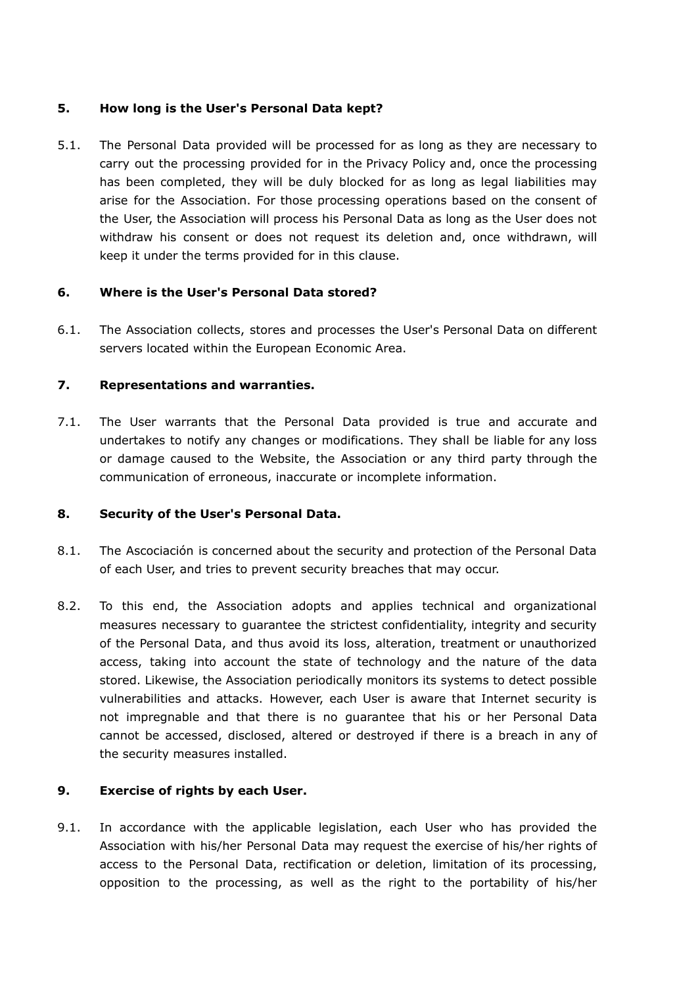#### **5. How long is the User's Personal Data kept?**

5.1. The Personal Data provided will be processed for as long as they are necessary to carry out the processing provided for in the Privacy Policy and, once the processing has been completed, they will be duly blocked for as long as legal liabilities may arise for the Association. For those processing operations based on the consent of the User, the Association will process his Personal Data as long as the User does not withdraw his consent or does not request its deletion and, once withdrawn, will keep it under the terms provided for in this clause.

#### **6. Where is the User's Personal Data stored?**

6.1. The Association collects, stores and processes the User's Personal Data on different servers located within the European Economic Area.

# **7. Representations and warranties.**

7.1. The User warrants that the Personal Data provided is true and accurate and undertakes to notify any changes or modifications. They shall be liable for any loss or damage caused to the Website, the Association or any third party through the communication of erroneous, inaccurate or incomplete information.

#### **8. Security of the User's Personal Data.**

- 8.1. The Ascociación is concerned about the security and protection of the Personal Data of each User, and tries to prevent security breaches that may occur.
- 8.2. To this end, the Association adopts and applies technical and organizational measures necessary to guarantee the strictest confidentiality, integrity and security of the Personal Data, and thus avoid its loss, alteration, treatment or unauthorized access, taking into account the state of technology and the nature of the data stored. Likewise, the Association periodically monitors its systems to detect possible vulnerabilities and attacks. However, each User is aware that Internet security is not impregnable and that there is no guarantee that his or her Personal Data cannot be accessed, disclosed, altered or destroyed if there is a breach in any of the security measures installed.

# **9. Exercise of rights by each User.**

9.1. In accordance with the applicable legislation, each User who has provided the Association with his/her Personal Data may request the exercise of his/her rights of access to the Personal Data, rectification or deletion, limitation of its processing, opposition to the processing, as well as the right to the portability of his/her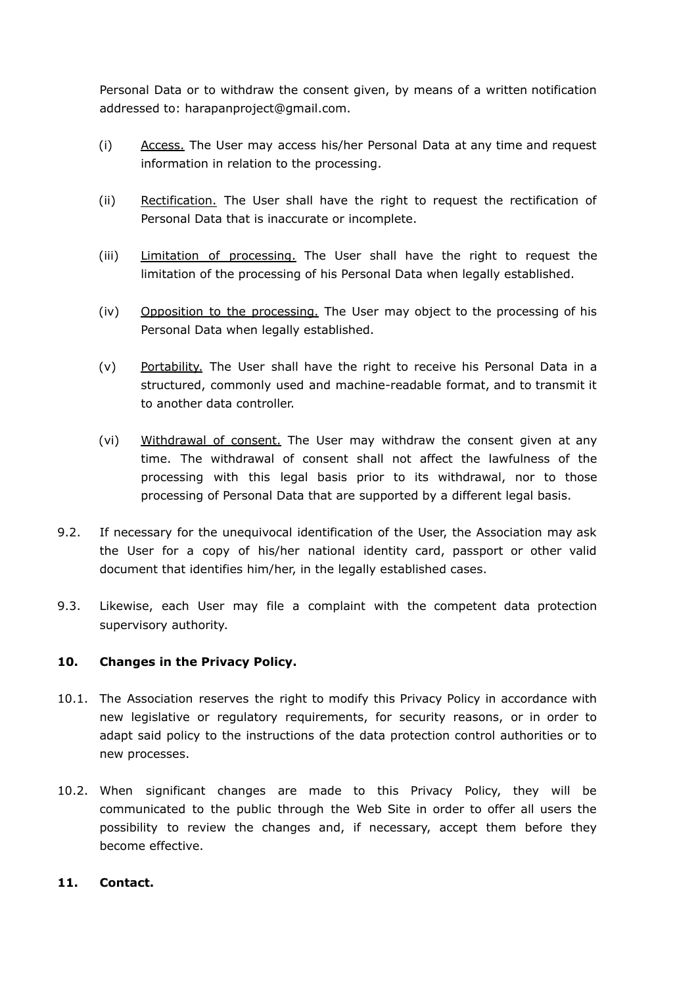Personal Data or to withdraw the consent given, by means of a written notification addressed to: harapanproject@gmail.com.

- (i) Access. The User may access his/her Personal Data at any time and request information in relation to the processing.
- (ii) Rectification. The User shall have the right to request the rectification of Personal Data that is inaccurate or incomplete.
- (iii) Limitation of processing. The User shall have the right to request the limitation of the processing of his Personal Data when legally established.
- (iv) Opposition to the processing. The User may object to the processing of his Personal Data when legally established.
- (v) Portability. The User shall have the right to receive his Personal Data in a structured, commonly used and machine-readable format, and to transmit it to another data controller.
- (vi) Withdrawal of consent. The User may withdraw the consent given at any time. The withdrawal of consent shall not affect the lawfulness of the processing with this legal basis prior to its withdrawal, nor to those processing of Personal Data that are supported by a different legal basis.
- 9.2. If necessary for the unequivocal identification of the User, the Association may ask the User for a copy of his/her national identity card, passport or other valid document that identifies him/her, in the legally established cases.
- 9.3. Likewise, each User may file a complaint with the competent data protection supervisory authority.

# **10. Changes in the Privacy Policy.**

- 10.1. The Association reserves the right to modify this Privacy Policy in accordance with new legislative or regulatory requirements, for security reasons, or in order to adapt said policy to the instructions of the data protection control authorities or to new processes.
- 10.2. When significant changes are made to this Privacy Policy, they will be communicated to the public through the Web Site in order to offer all users the possibility to review the changes and, if necessary, accept them before they become effective.

# **11. Contact.**